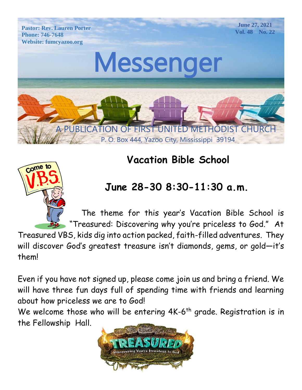

# Come to

# **Vacation Bible School**

# **June 28-30 8:30-11:30 a.m.**

 The theme for this year's Vacation Bible School is "Treasured: Discovering why you're priceless to God." At

Treasured VBS, kids dig into action packed, faith-filled adventures. They will discover God's greatest treasure isn't diamonds, gems, or gold—it's them!

Even if you have not signed up, please come join us and bring a friend. We will have three fun days full of spending time with friends and learning about how priceless we are to God!

We welcome those who will be entering 4K-6<sup>th</sup> grade. Registration is in the Fellowship Hall.

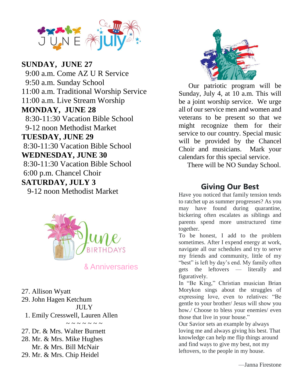

 $\frac{0.00 \text{ m/s}}{0.10}$  M  $\frac{1}{4}$ 9-12 noon Methodist Market Website: fumcyazoo.org **TUESDAY, JUNE 29 SUNDAY, JUNE 27** 9:00 a.m. Come AZ U R Service 9:50 a.m. Sunday School 11:00 a.m. Traditional Worship Service 11:00 a.m. Live Stream Worship **MONDAY, JUNE 28** 8:30-11:30 Vacation Bible School 8:30-11:30 Vacation Bible School **WEDNESDAY, JUNE 30** 8:30-11:30 Vacation Bible School 6:00 p.m. Chancel Choir **SATURDAY, JULY 3** 9-12 noon Methodist Market



27. Allison Wyatt 29. John Hagen Ketchum JULY

1. Emily Cresswell, Lauren Allen

~~~~~~ 27. Dr. & Mrs. Walter Burnett

28. Mr. & Mrs. Mike Hughes

Mr. & Mrs. Bill McNair

29. Mr. & Mrs. Chip Heidel



 Our patriotic program will be Sunday, July 4, at 10 a.m. This will be a joint worship service. We urge all of our service men and women and veterans to be present so that we might recognize them for their service to our country. Special music will be provided by the Chancel Choir and musicians. Mark your calendars for this special service.

There will be NO Sunday School.

## **Giving Our Best**

Have you noticed that family tension tends to ratchet up as summer progresses? As you may have found during quarantine, bickering often escalates as siblings and parents spend more unstructured time together.

To be honest, I add to the problem sometimes. After I expend energy at work, navigate all our schedules and try to serve my friends and community, little of my "best" is left by day's end. My family often gets the leftovers — literally and figuratively.

In "Be King," Christian musician Brian Morykon sings about the struggles of expressing love, even to relatives: "Be gentle to your brother/ Jesus will show you how./ Choose to bless your enemies/ even those that live in your house."

Our Savior sets an example by always loving me and always giving his best. That knowledge can help me flip things around and find ways to give my best, not my leftovers, to the people in my house.

—Janna Firestone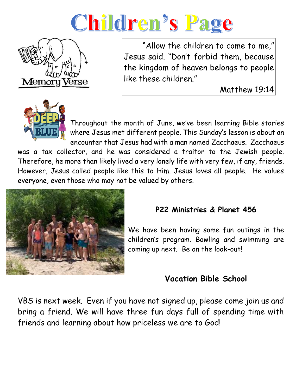



 "Allow the children to come to me," Jesus said. "Don't forbid them, because the kingdom of heaven belongs to people like these children."

Matthew 19:14



Throughout the month of June, we've been learning Bible stories where Jesus met different people. This Sunday's lesson is about an encounter that Jesus had with a man named Zacchaeus. Zacchaeus

was a tax collector, and he was considered a traitor to the Jewish people. Therefore, he more than likely lived a very lonely life with very few, if any, friends. However, Jesus called people like this to Him. Jesus loves all people. He values everyone, even those who may not be valued by others.



## **P22 Ministries & Planet 456**

We have been having some fun outings in the children's program. Bowling and swimming are coming up next. Be on the look-out!

## **Vacation Bible School**

VBS is next week. Even if you have not signed up, please come join us and bring a friend. We will have three fun days full of spending time with friends and learning about how priceless we are to God!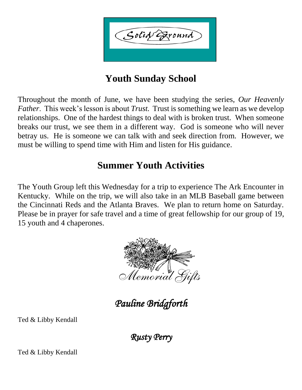Solid Exound

## **Youth Sunday School**

Throughout the month of June, we have been studying the series, *Our Heavenly Father*. This week's lesson is about *Trust.* Trust is something we learn as we develop relationships. One of the hardest things to deal with is broken trust. When someone breaks our trust, we see them in a different way. God is someone who will never betray us. He is someone we can talk with and seek direction from. However, we must be willing to spend time with Him and listen for His guidance.

## **Summer Youth Activities**

The Youth Group left this Wednesday for a trip to experience The Ark Encounter in Kentucky. While on the trip, we will also take in an MLB Baseball game between the Cincinnati Reds and the Atlanta Braves. We plan to return home on Saturday. Please be in prayer for safe travel and a time of great fellowship for our group of 19, 15 youth and 4 chaperones.



*Pauline Bridgforth* 

Ted & Libby Kendall

*Rusty Perry* 

Ted & Libby Kendall